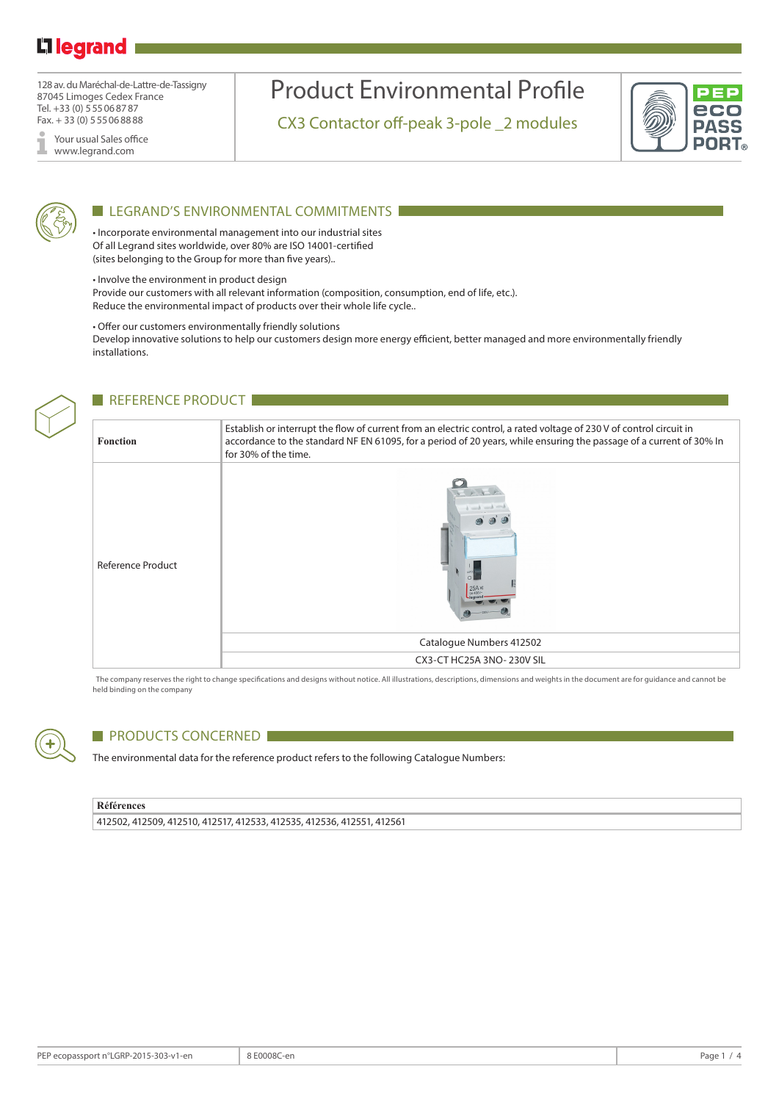# L<sub>legrand</sub>

128 av. du Maréchal-de-Lattre-de-Tassigny 87045 Limoges Cedex France Tel. +33 (0) 555068787 Fax. + 33 (0) 555068888

Your usual Sales office I www.legrand.com

# Product Environmental Profile

CX3 Contactor off-peak 3-pole \_2 modules





### LEGRAND'S ENVIRONMENTAL COMMITMENTS

• Incorporate environmental management into our industrial sites Of all Legrand sites worldwide, over 80% are ISO 14001-certified (sites belonging to the Group for more than five years)..

• Involve the environment in product design

Provide our customers with all relevant information (composition, consumption, end of life, etc.). Reduce the environmental impact of products over their whole life cycle..

• Offer our customers environmentally friendly solutions

Develop innovative solutions to help our customers design more energy efficient, better managed and more environmentally friendly installations.



## REFERENCE PRODUCT

| <b>Fonction</b>          | Establish or interrupt the flow of current from an electric control, a rated voltage of 230 V of control circuit in<br>accordance to the standard NF EN 61095, for a period of 20 years, while ensuring the passage of a current of 30% In<br>for 30% of the time. |
|--------------------------|--------------------------------------------------------------------------------------------------------------------------------------------------------------------------------------------------------------------------------------------------------------------|
| <b>Reference Product</b> | 25A<br>Catalogue Numbers 412502                                                                                                                                                                                                                                    |
|                          | CX3-CT HC25A 3NO-230V SIL                                                                                                                                                                                                                                          |

The company reserves the right to change specifications and designs without notice. All illustrations, descriptions, dimensions and weights in the document are for guidance and cannot be held binding on the company



## **PRODUCTS CONCERNED**

The environmental data for the reference product refers to the following Catalogue Numbers:

#### **Références**

412502, 412509, 412510, 412517, 412533, 412535, 412536, 412551, 412561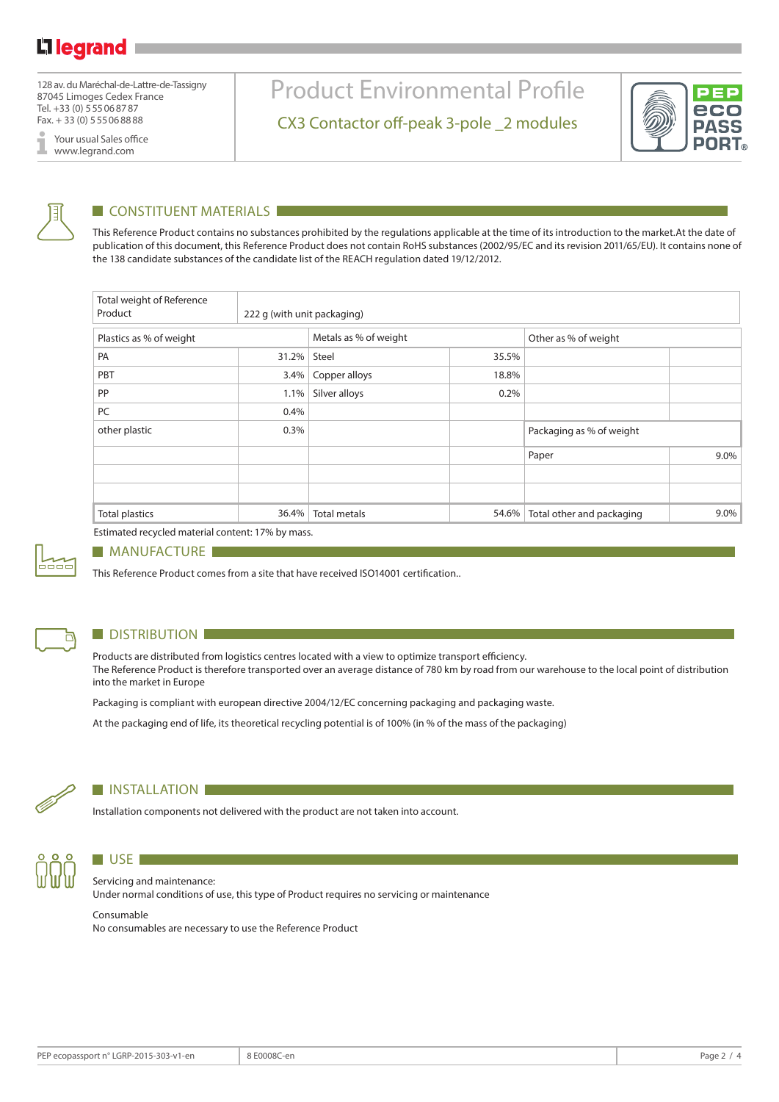128 av. du Maréchal-de-Lattre-de-Tassigny 87045 Limoges Cedex France Tel. +33 (0) 555068787 Fax. + 33 (0) 555068888

Your usual Sales office www.legrand.com

# Product Environmental Profile

CX3 Contactor off-peak 3-pole \_2 modules





### $\blacksquare$  CONSTITUENT MATERIALS  $\blacksquare$

This Reference Product contains no substances prohibited by the regulations applicable at the time of its introduction to the market.At the date of publication of this document, this Reference Product does not contain RoHS substances (2002/95/EC and its revision 2011/65/EU). It contains none of the 138 candidate substances of the candidate list of the REACH regulation dated 19/12/2012.

| Total weight of Reference<br>Product | 222 g (with unit packaging) |                       |       |                           |         |  |
|--------------------------------------|-----------------------------|-----------------------|-------|---------------------------|---------|--|
| Plastics as % of weight              |                             | Metals as % of weight |       | Other as % of weight      |         |  |
| PA                                   | 31.2%                       | Steel                 | 35.5% |                           |         |  |
| PBT                                  | 3.4%                        | Copper alloys         | 18.8% |                           |         |  |
| PP                                   | 1.1%                        | Silver alloys         | 0.2%  |                           |         |  |
| PC                                   | 0.4%                        |                       |       |                           |         |  |
| other plastic                        | 0.3%                        |                       |       | Packaging as % of weight  |         |  |
|                                      |                             |                       |       | Paper                     | 9.0%    |  |
|                                      |                             |                       |       |                           |         |  |
|                                      |                             |                       |       |                           |         |  |
| <b>Total plastics</b>                | 36.4%                       | <b>Total metals</b>   | 54.6% | Total other and packaging | $9.0\%$ |  |

Estimated recycled material content: 17% by mass.



#### **MANUFACTURE**

This Reference Product comes from a site that have received ISO14001 certification..



### **DISTRIBUTION**

Products are distributed from logistics centres located with a view to optimize transport efficiency. The Reference Product is therefore transported over an average distance of 780 km by road from our warehouse to the local point of distribution into the market in Europe

Packaging is compliant with european directive 2004/12/EC concerning packaging and packaging waste.

At the packaging end of life, its theoretical recycling potential is of 100% (in % of the mass of the packaging)



#### **INSTALLATION**

Installation components not delivered with the product are not taken into account.



## $\blacksquare$  USE  $\blacksquare$ Servicing and maintenance:

Under normal conditions of use, this type of Product requires no servicing or maintenance

#### Consumable

No consumables are necessary to use the Reference Product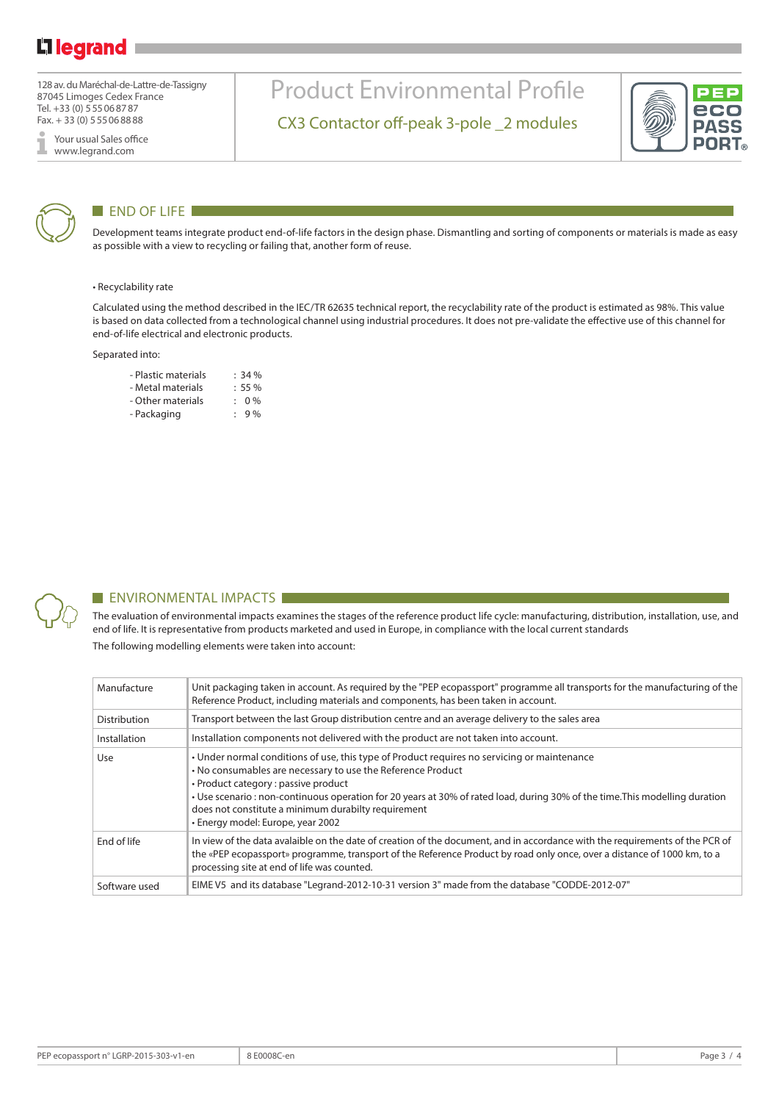128 av. du Maréchal-de-Lattre-de-Tassigny 87045 Limoges Cedex France Tel. +33 (0) 555068787 Fax. + 33 (0) 555068888

Your usual Sales office I www.legrand.com



### **END OF LIFE**

Development teams integrate product end-of-life factors in the design phase. Dismantling and sorting of components or materials is made as easy as possible with a view to recycling or failing that, another form of reuse.

Product Environmental Profile

CX3 Contactor off-peak 3-pole \_2 modules

#### • Recyclability rate

Calculated using the method described in the IEC/TR 62635 technical report, the recyclability rate of the product is estimated as 98%. This value is based on data collected from a technological channel using industrial procedures. It does not pre-validate the effective use of this channel for end-of-life electrical and electronic products.

#### Separated into:

| - Plastic materials | $: 34 \%$ |
|---------------------|-----------|
| - Metal materials   | $: 55 \%$ |
| - Other materials   | $: 0\%$   |
| - Packaging         | 9%        |



#### **ENVIRONMENTAL IMPACTS**

The evaluation of environmental impacts examines the stages of the reference product life cycle: manufacturing, distribution, installation, use, and end of life. It is representative from products marketed and used in Europe, in compliance with the local current standards The following modelling elements were taken into account:

| Manufacture   | Unit packaging taken in account. As reguired by the "PEP ecopassport" programme all transports for the manufacturing of the<br>Reference Product, including materials and components, has been taken in account.                                                                                                                                                                                                               |
|---------------|--------------------------------------------------------------------------------------------------------------------------------------------------------------------------------------------------------------------------------------------------------------------------------------------------------------------------------------------------------------------------------------------------------------------------------|
| Distribution  | Transport between the last Group distribution centre and an average delivery to the sales area                                                                                                                                                                                                                                                                                                                                 |
| Installation  | Installation components not delivered with the product are not taken into account.                                                                                                                                                                                                                                                                                                                                             |
| Use           | • Under normal conditions of use, this type of Product requires no servicing or maintenance<br>. No consumables are necessary to use the Reference Product<br>• Product category : passive product<br>• Use scenario : non-continuous operation for 20 years at 30% of rated load, during 30% of the time. This modelling duration<br>does not constitute a minimum durabilty requirement<br>• Energy model: Europe, year 2002 |
| End of life   | In view of the data avalaible on the date of creation of the document, and in accordance with the requirements of the PCR of<br>the «PEP ecopassport» programme, transport of the Reference Product by road only once, over a distance of 1000 km, to a<br>processing site at end of life was counted.                                                                                                                         |
| Software used | EIME V5 and its database "Legrand-2012-10-31 version 3" made from the database "CODDE-2012-07"                                                                                                                                                                                                                                                                                                                                 |

DVC **PORT**